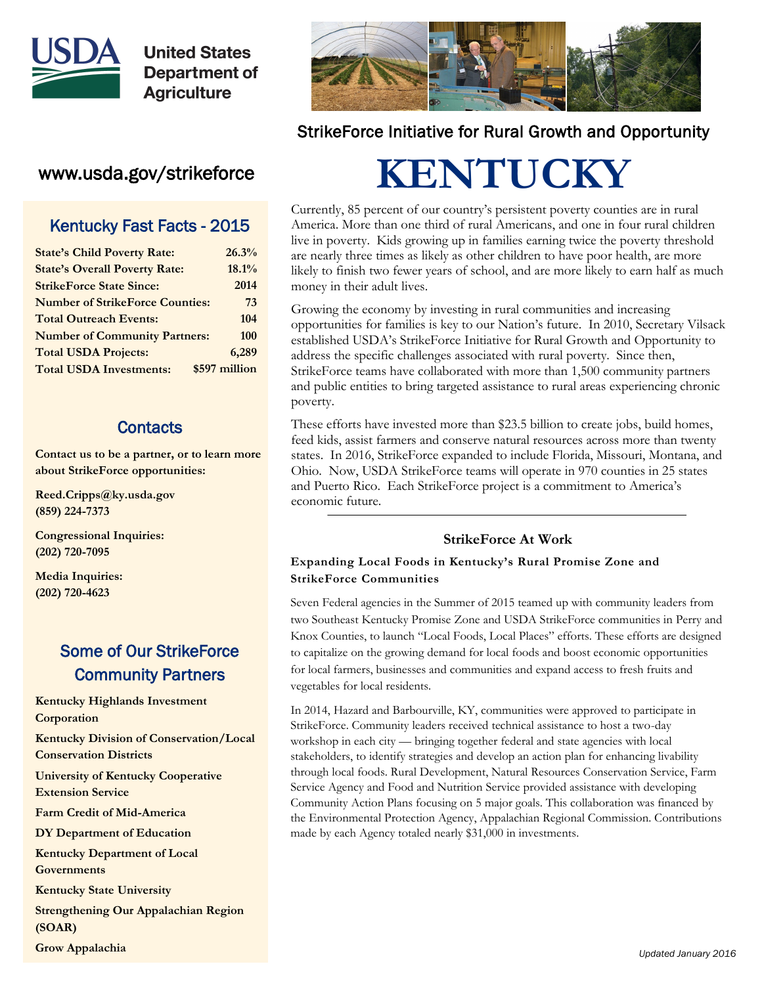

## www.usda.gov/strikeforce

#### Kentucky Fast Facts - 2015

| <b>State's Child Poverty Rate:</b>     | 26.3%         |
|----------------------------------------|---------------|
| <b>State's Overall Poverty Rate:</b>   | 18.1%         |
| <b>StrikeForce State Since:</b>        | 2014          |
| <b>Number of StrikeForce Counties:</b> | 73            |
| <b>Total Outreach Events:</b>          | 104           |
| <b>Number of Community Partners:</b>   | 100           |
| <b>Total USDA Projects:</b>            | 6,289         |
| <b>Total USDA Investments:</b>         | \$597 million |
|                                        |               |

#### **Contacts**

**Contact us to be a partner, or to learn more about StrikeForce opportunities:**

**Reed.Cripps@ky.usda.gov (859) 224-7373**

**Congressional Inquiries: (202) 720-7095**

**Media Inquiries: (202) 720-4623**

## Some of Our StrikeForce Community Partners

**Kentucky Highlands Investment Corporation**

**Kentucky Division of Conservation/Local Conservation Districts**

**University of Kentucky Cooperative Extension Service**

**Farm Credit of Mid-America**

**DY Department of Education**

**Kentucky Department of Local Governments**

**Kentucky State University**

**Strengthening Our Appalachian Region (SOAR)**

**Grow Appalachia**



## StrikeForce Initiative for Rural Growth and Opportunity

# **KENTUCKY**

Currently, 85 percent of our country's persistent poverty counties are in rural America. More than one third of rural Americans, and one in four rural children live in poverty. Kids growing up in families earning twice the poverty threshold are nearly three times as likely as other children to have poor health, are more likely to finish two fewer years of school, and are more likely to earn half as much money in their adult lives.

Growing the economy by investing in rural communities and increasing opportunities for families is key to our Nation's future. In 2010, Secretary Vilsack established USDA's StrikeForce Initiative for Rural Growth and Opportunity to address the specific challenges associated with rural poverty. Since then, StrikeForce teams have collaborated with more than 1,500 community partners and public entities to bring targeted assistance to rural areas experiencing chronic poverty.

These efforts have invested more than \$23.5 billion to create jobs, build homes, feed kids, assist farmers and conserve natural resources across more than twenty states. In 2016, StrikeForce expanded to include Florida, Missouri, Montana, and Ohio. Now, USDA StrikeForce teams will operate in 970 counties in 25 states and Puerto Rico. Each StrikeForce project is a commitment to America's economic future.

#### **StrikeForce At Work**

#### **Expanding Local Foods in Kentucky's Rural Promise Zone and StrikeForce Communities**

Seven Federal agencies in the Summer of 2015 teamed up with community leaders from two Southeast Kentucky Promise Zone and USDA StrikeForce communities in Perry and Knox Counties, to launch "Local Foods, Local Places" efforts. These efforts are designed to capitalize on the growing demand for local foods and boost economic opportunities for local farmers, businesses and communities and expand access to fresh fruits and vegetables for local residents.

In 2014, Hazard and Barbourville, KY, communities were approved to participate in StrikeForce. Community leaders received technical assistance to host a two-day workshop in each city — bringing together federal and state agencies with local stakeholders, to identify strategies and develop an action plan for enhancing livability through local foods. Rural Development, Natural Resources Conservation Service, Farm Service Agency and Food and Nutrition Service provided assistance with developing Community Action Plans focusing on 5 major goals. This collaboration was financed by the Environmental Protection Agency, Appalachian Regional Commission. Contributions made by each Agency totaled nearly \$31,000 in investments.